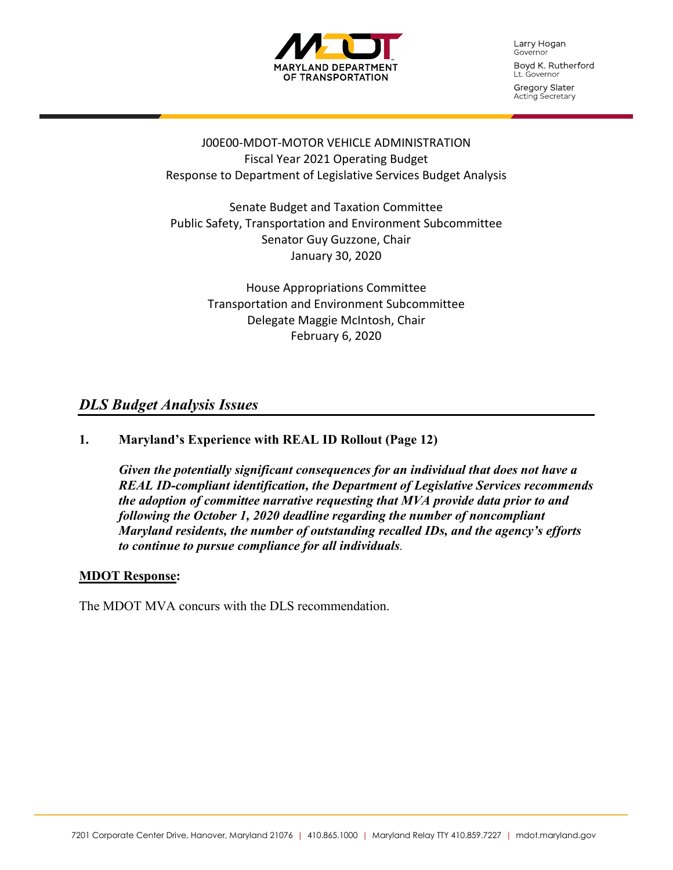

Larry Hogan Governor Boyd K. Rutherford Lt. Governor

Gregory Slater Acting Secretary

### J00E00-MDOT-MOTOR VEHICLE ADMINISTRATION Fiscal Year 2021 Operating Budget Response to Department of Legislative Services Budget Analysis

Senate Budget and Taxation Committee Public Safety, Transportation and Environment Subcommittee Senator Guy Guzzone, Chair January 30, 2020

> House Appropriations Committee Transportation and Environment Subcommittee Delegate Maggie McIntosh, Chair February 6, 2020

## *DLS Budget Analysis Issues*

### **1. Maryland's Experience with REAL ID Rollout (Page 12)**

*Given the potentially significant consequences for an individual that does not have a REAL ID-compliant identification, the Department of Legislative Services recommends the adoption of committee narrative requesting that MVA provide data prior to and following the October 1, 2020 deadline regarding the number of noncompliant Maryland residents, the number of outstanding recalled IDs, and the agency's efforts to continue to pursue compliance for all individuals.*

#### **MDOT Response:**

The MDOT MVA concurs with the DLS recommendation.